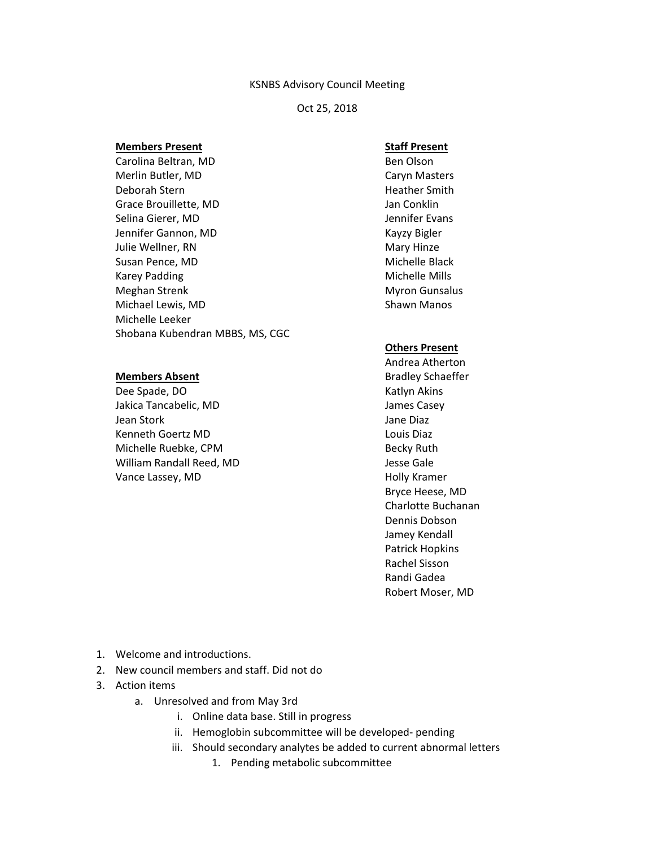#### KSNBS Advisory Council Meeting

Oct 25, 2018

### **Members Present**

Carolina Beltran, MD Merlin Butler, MD Deborah Stern Grace Brouillette, MD Selina Gierer, MD Jennifer Gannon, MD Julie Wellner, RN Susan Pence, MD Karey Padding Meghan Strenk Michael Lewis, MD Michelle Leeker Shobana Kubendran MBBS, MS, CGC

## **Members Absent**

Dee Spade, DO Jakica Tancabelic, MD Jean Stork Kenneth Goertz MD Michelle Ruebke, CPM William Randall Reed, MD Vance Lassey, MD

# **Staff Present**

Ben Olson Caryn Masters Heather Smith Jan Conklin Jennifer Evans Kayzy Bigler Mary Hinze Michelle Black Michelle Mills Myron Gunsalus Shawn Manos

## **Others Present**

Andrea Atherton Bradley Schaeffer Katlyn Akins James Casey Jane Diaz Louis Diaz Becky Ruth Jesse Gale Holly Kramer Bryce Heese, MD Charlotte Buchanan Dennis Dobson Jamey Kendall Patrick Hopkins Rachel Sisson Randi Gadea Robert Moser, MD

- 1. Welcome and introductions.
- 2. New council members and staff. Did not do
- 3. Action items
	- a. Unresolved and from May 3rd
		- i. Online data base. Still in progress
		- ii. Hemoglobin subcommittee will be developed- pending
		- iii. Should secondary analytes be added to current abnormal letters
			- 1. Pending metabolic subcommittee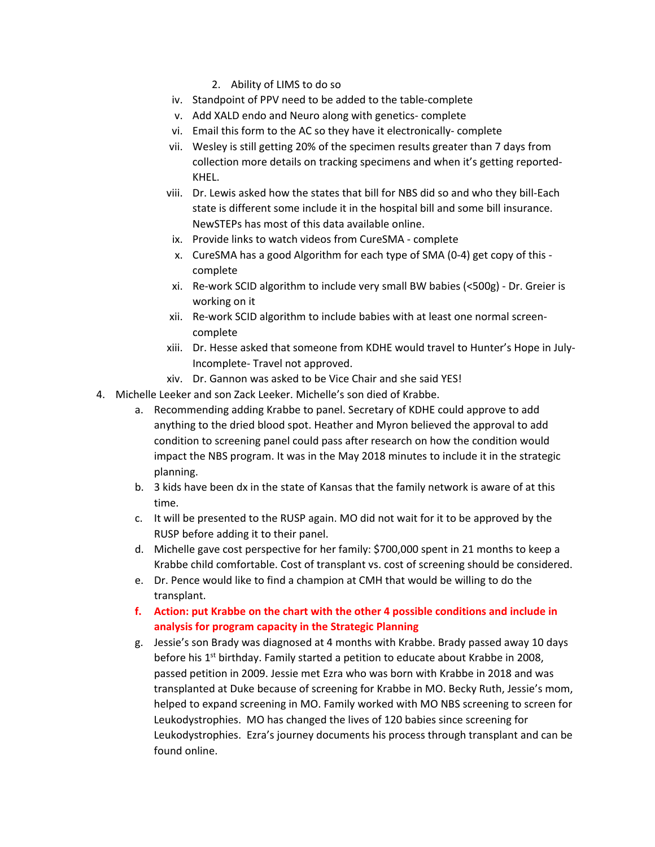- 2. Ability of LIMS to do so
- iv. Standpoint of PPV need to be added to the table-complete
- v. Add XALD endo and Neuro along with genetics- complete
- vi. Email this form to the AC so they have it electronically- complete
- vii. Wesley is still getting 20% of the specimen results greater than 7 days from collection more details on tracking specimens and when it's getting reported-KHEL.
- viii. Dr. Lewis asked how the states that bill for NBS did so and who they bill-Each state is different some include it in the hospital bill and some bill insurance. NewSTEPs has most of this data available online.
- ix. Provide links to watch videos from CureSMA complete
- x. CureSMA has a good Algorithm for each type of SMA (0-4) get copy of this complete
- xi. Re-work SCID algorithm to include very small BW babies (<500g) Dr. Greier is working on it
- xii. Re-work SCID algorithm to include babies with at least one normal screencomplete
- xiii. Dr. Hesse asked that someone from KDHE would travel to Hunter's Hope in July-Incomplete- Travel not approved.
- xiv. Dr. Gannon was asked to be Vice Chair and she said YES!
- 4. Michelle Leeker and son Zack Leeker. Michelle's son died of Krabbe.
	- a. Recommending adding Krabbe to panel. Secretary of KDHE could approve to add anything to the dried blood spot. Heather and Myron believed the approval to add condition to screening panel could pass after research on how the condition would impact the NBS program. It was in the May 2018 minutes to include it in the strategic planning.
	- b. 3 kids have been dx in the state of Kansas that the family network is aware of at this time.
	- c. It will be presented to the RUSP again. MO did not wait for it to be approved by the RUSP before adding it to their panel.
	- d. Michelle gave cost perspective for her family: \$700,000 spent in 21 months to keep a Krabbe child comfortable. Cost of transplant vs. cost of screening should be considered.
	- e. Dr. Pence would like to find a champion at CMH that would be willing to do the transplant.
	- **f. Action: put Krabbe on the chart with the other 4 possible conditions and include in analysis for program capacity in the Strategic Planning**
	- g. Jessie's son Brady was diagnosed at 4 months with Krabbe. Brady passed away 10 days before his  $1<sup>st</sup>$  birthday. Family started a petition to educate about Krabbe in 2008, passed petition in 2009. Jessie met Ezra who was born with Krabbe in 2018 and was transplanted at Duke because of screening for Krabbe in MO. Becky Ruth, Jessie's mom, helped to expand screening in MO. Family worked with MO NBS screening to screen for Leukodystrophies. MO has changed the lives of 120 babies since screening for Leukodystrophies. Ezra's journey documents his process through transplant and can be found online.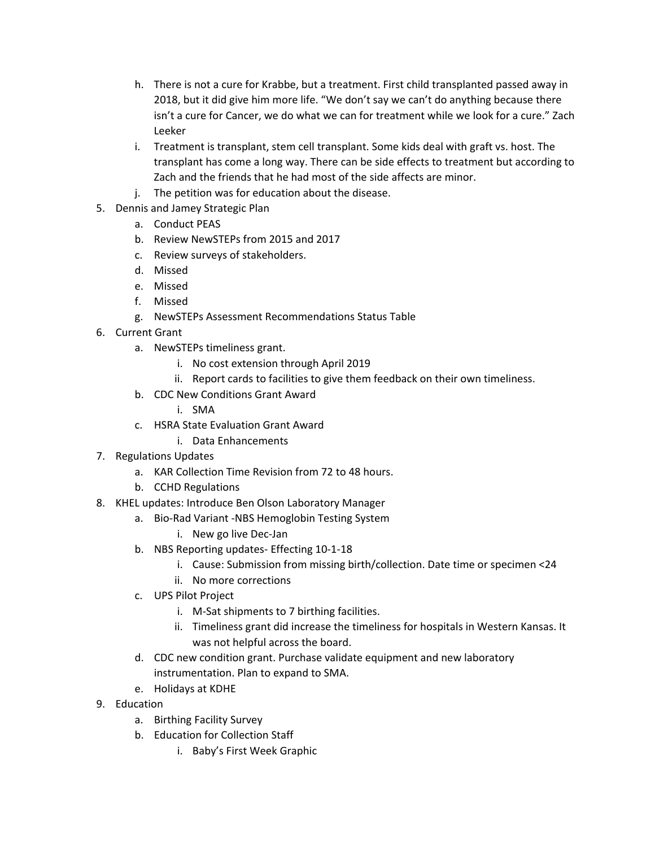- h. There is not a cure for Krabbe, but a treatment. First child transplanted passed away in 2018, but it did give him more life. "We don't say we can't do anything because there isn't a cure for Cancer, we do what we can for treatment while we look for a cure." Zach Leeker
- i. Treatment is transplant, stem cell transplant. Some kids deal with graft vs. host. The transplant has come a long way. There can be side effects to treatment but according to Zach and the friends that he had most of the side affects are minor.
- j. The petition was for education about the disease.
- 5. Dennis and Jamey Strategic Plan
	- a. Conduct PEAS
	- b. Review NewSTEPs from 2015 and 2017
	- c. Review surveys of stakeholders.
	- d. Missed
	- e. Missed
	- f. Missed
	- g. NewSTEPs Assessment Recommendations Status Table
- 6. Current Grant
	- a. NewSTEPs timeliness grant.
		- i. No cost extension through April 2019
		- ii. Report cards to facilities to give them feedback on their own timeliness.
	- b. CDC New Conditions Grant Award
		- i. SMA
	- c. HSRA State Evaluation Grant Award
		- i. Data Enhancements
- 7. Regulations Updates
	- a. KAR Collection Time Revision from 72 to 48 hours.
	- b. CCHD Regulations
- 8. KHEL updates: Introduce Ben Olson Laboratory Manager
	- a. Bio-Rad Variant -NBS Hemoglobin Testing System
		- i. New go live Dec-Jan
	- b. NBS Reporting updates- Effecting 10-1-18
		- i. Cause: Submission from missing birth/collection. Date time or specimen <24
		- ii. No more corrections
	- c. UPS Pilot Project
		- i. M-Sat shipments to 7 birthing facilities.
		- ii. Timeliness grant did increase the timeliness for hospitals in Western Kansas. It was not helpful across the board.
	- d. CDC new condition grant. Purchase validate equipment and new laboratory instrumentation. Plan to expand to SMA.
	- e. Holidays at KDHE
- 9. Education
	- a. Birthing Facility Survey
	- b. Education for Collection Staff
		- i. Baby's First Week Graphic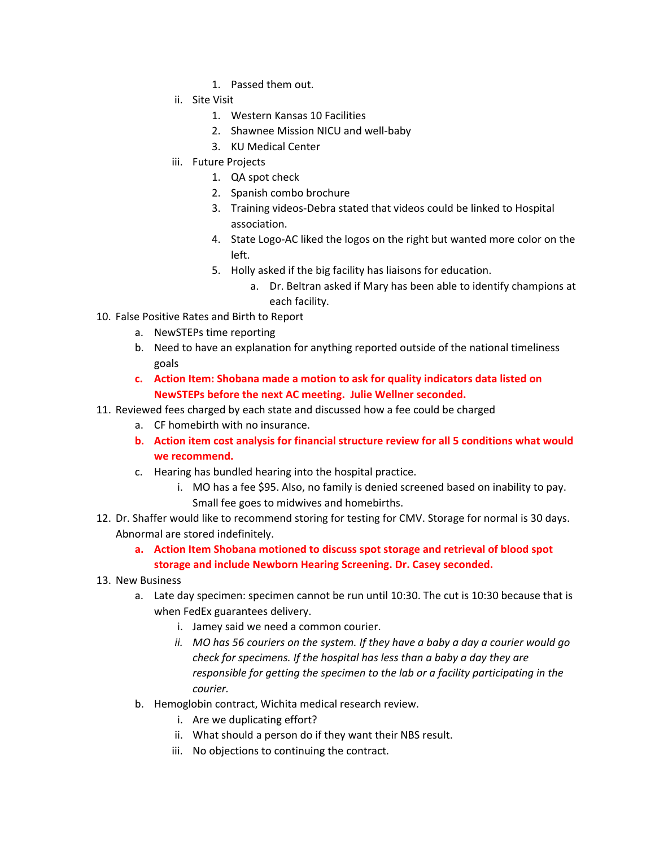- 1. Passed them out.
- ii. Site Visit
	- 1. Western Kansas 10 Facilities
	- 2. Shawnee Mission NICU and well-baby
	- 3. KU Medical Center
- iii. Future Projects
	- 1. QA spot check
	- 2. Spanish combo brochure
	- 3. Training videos-Debra stated that videos could be linked to Hospital association.
	- 4. State Logo-AC liked the logos on the right but wanted more color on the left.
	- 5. Holly asked if the big facility has liaisons for education.
		- a. Dr. Beltran asked if Mary has been able to identify champions at each facility.
- 10. False Positive Rates and Birth to Report
	- a. NewSTEPs time reporting
	- b. Need to have an explanation for anything reported outside of the national timeliness goals
	- **c. Action Item: Shobana made a motion to ask for quality indicators data listed on NewSTEPs before the next AC meeting. Julie Wellner seconded.**
- 11. Reviewed fees charged by each state and discussed how a fee could be charged
	- a. CF homebirth with no insurance.
	- **b. Action item cost analysis for financial structure review for all 5 conditions what would we recommend.**
	- c. Hearing has bundled hearing into the hospital practice.
		- i. MO has a fee \$95. Also, no family is denied screened based on inability to pay. Small fee goes to midwives and homebirths.
- 12. Dr. Shaffer would like to recommend storing for testing for CMV. Storage for normal is 30 days. Abnormal are stored indefinitely.
	- **a. Action Item Shobana motioned to discuss spot storage and retrieval of blood spot storage and include Newborn Hearing Screening. Dr. Casey seconded.**
- 13. New Business
	- a. Late day specimen: specimen cannot be run until 10:30. The cut is 10:30 because that is when FedEx guarantees delivery.
		- i. Jamey said we need a common courier.
		- *ii. MO has 56 couriers on the system. If they have a baby a day a courier would go check for specimens. If the hospital has less than a baby a day they are responsible for getting the specimen to the lab or a facility participating in the courier.*
	- b. Hemoglobin contract, Wichita medical research review.
		- i. Are we duplicating effort?
		- ii. What should a person do if they want their NBS result.
		- iii. No objections to continuing the contract.